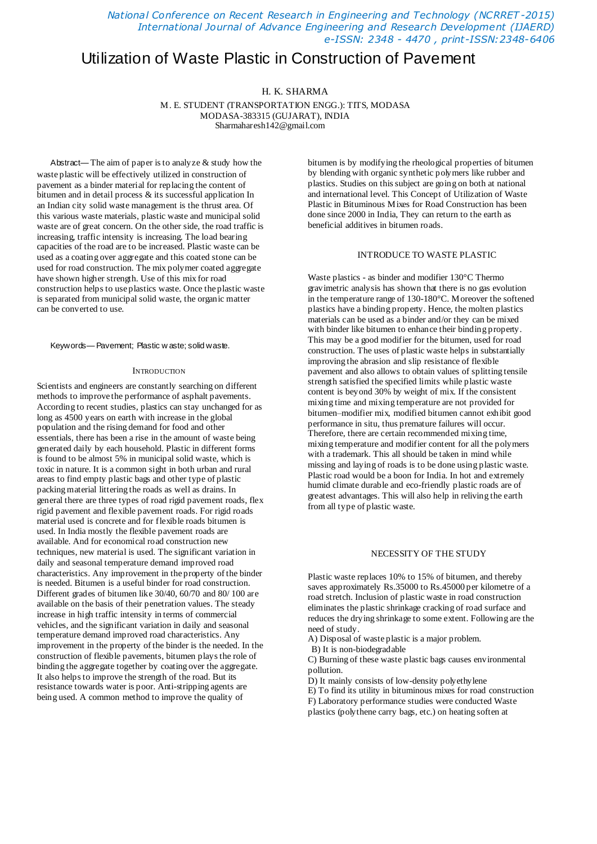*National Conference on Recent Research in Engineering and Technology (NCRRET -2015) International Journal of Advance Engineering and Research Development (IJAERD) e-ISSN: 2348 - 4470 , print-ISSN:2348-6406*

# Utilization of Waste Plastic in Construction of Pavement

## H. K. SHARMA

M. E. STUDENT (TRANSPORTATION ENGG.): TITS, MODASA MODASA-383315 (GUJARAT), INDIA Sharmaharesh142@gmail.com

Abstract— The aim of paper is to analyze  $&$  study how the waste plastic will be effectively utilized in construction of pavement as a binder material for replacing the content of bitumen and in detail process & its successful application In an Indian city solid waste management is the thrust area. Of this various waste materials, plastic waste and municipal solid waste are of great concern. On the other side, the road traffic is increasing, traffic intensity is increasing. The load bearing capacities of the road are to be increased. Plastic waste can be used as a coating over aggregate and this coated stone can be used for road construction. The mix polymer coated aggregate have shown higher strength. Use of this mix for road construction helps to use plastics waste. Once the plastic waste is separated from municipal solid waste, the organic matter can be converted to use.

Keywords— Pavement; Plastic w aste; solid waste.

#### **INTRODUCTION**

Scientists and engineers are constantly searching on different methods to improve the performance of asphalt pavements. According to recent studies, plastics can stay unchanged for as long as 4500 years on earth with increase in the global population and the rising demand for food and other essentials, there has been a rise in the amount of waste being generated daily by each household. Plastic in different forms is found to be almost 5% in municipal solid waste, which is toxic in nature. It is a common sight in both urban and rural areas to find empty plastic bags and other type of plastic packing material littering the roads as well as drains. In general there are three types of road rigid pavement roads, flex rigid pavement and flexible pavement roads. For rigid roads material used is concrete and for flexible roads bitumen is used. In India mostly the flexible pavement roads are available. And for economical road construction new techniques, new material is used. The significant variation in daily and seasonal temperature demand improved road characteristics. Any improvement in the property of the binder is needed. Bitumen is a useful binder for road construction. Different grades of bitumen like 30/40, 60/70 and 80/ 100 are available on the basis of their penetration values. The steady increase in high traffic intensity in terms of commercial vehicles, and the significant variation in daily and seasonal temperature demand improved road characteristics. Any improvement in the property of the binder is the needed. In the construction of flexible pavements, bitumen plays the role of binding the aggregate together by coating over the aggregate. It also helps to improve the strength of the road. But its resistance towards water is poor. Anti-stripping agents are being used. A common method to improve the quality of

bitumen is by modifying the rheological properties of bitumen by blending with organic synthetic polymers like rubber and plastics. Studies on this subject are going on both at national and international level. This Concept of Utilization of Waste Plastic in Bituminous Mixes for Road Construction has been done since 2000 in India, They can return to the earth as beneficial additives in bitumen roads.

#### INTRODUCE TO WASTE PLASTIC

Waste plastics - as binder and modifier 130°C Thermo gravimetric analysis has shown that there is no gas evolution in the temperature range of 130-180°C. Moreover the softened plastics have a binding property. Hence, the molten plastics materials can be used as a binder and/or they can be mixed with binder like bitumen to enhance their binding property. This may be a good modifier for the bitumen, used for road construction. The uses of plastic waste helps in substantially improving the abrasion and slip resistance of flexible pavement and also allows to obtain values of splitting tensile strength satisfied the specified limits while plastic waste content is beyond 30% by weight of mix. If the consistent mixing time and mixing temperature are not provided for bitumen–modifier mix, modified bitumen cannot exhibit good performance in situ, thus premature failures will occur. Therefore, there are certain recommended mixing time, mixing temperature and modifier content for all the polymers with a trademark. This all should be taken in mind while missing and laying of roads is to be done using plastic waste. Plastic road would be a boon for India. In hot and extremely humid climate durable and eco-friendly plastic roads are of greatest advantages. This will also help in reliving the earth from all type of plastic waste.

#### NECESSITY OF THE STUDY

Plastic waste replaces 10% to 15% of bitumen, and thereby saves approximately Rs.35000 to Rs.45000 per kilometre of a road stretch. Inclusion of plastic waste in road construction eliminates the plastic shrinkage cracking of road surface and reduces the drying shrinkage to some extent. Following are the need of study.

A) Disposal of waste plastic is a major problem.

B) It is non-biodegradable

C) Burning of these waste plastic bags causes environmental pollution.

D) It mainly consists of low-density polyethylene

E) To find its utility in bituminous mixes for road construction F) Laboratory performance studies were conducted Waste plastics (polythene carry bags, etc.) on heating soften at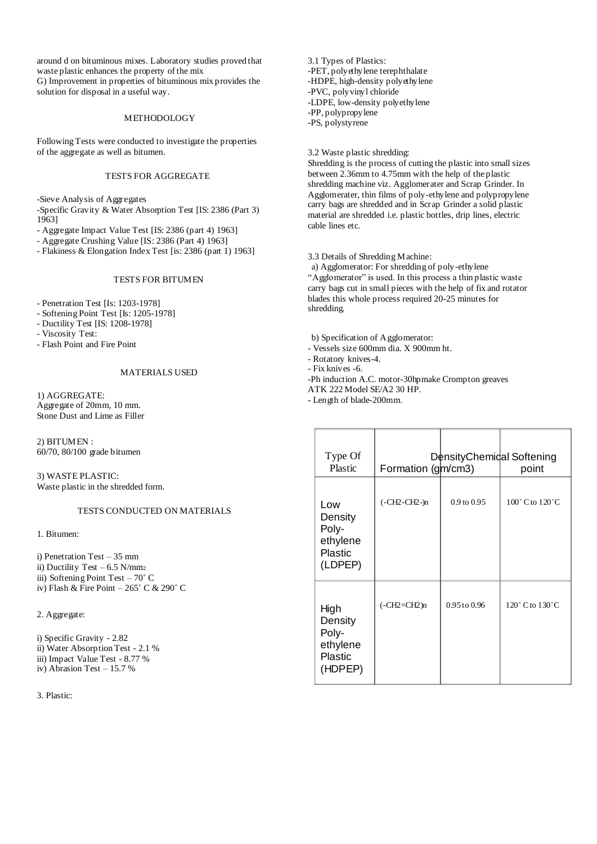around d on bituminous mixes. Laboratory studies proved that waste plastic enhances the property of the mix G) Improvement in properties of bituminous mix provides the solution for disposal in a useful way.

#### METHODOLOGY

Following Tests were conducted to investigate the properties of the aggregate as well as bitumen.

## TESTS FOR AGGREGATE

-Sieve Analysis of Aggregates

-Specific Gravity & Water Absorption Test [IS: 2386 (Part 3) 1963]

- Aggregate Impact Value Test [IS: 2386 (part 4) 1963]
- Aggregate Crushing Value [IS: 2386 (Part 4) 1963]
- Flakiness & Elongation Index Test [is: 2386 (part 1) 1963]

## TESTS FOR BITUMEN

- Penetration Test [Is: 1203-1978]

- Softening Point Test [Is: 1205-1978]

- Ductility Test [IS: 1208-1978]

- Viscosity Test:

- Flash Point and Fire Point

## MATERIALS USED

1) AGGREGATE: Aggregate of 20mm, 10 mm. Stone Dust and Lime as Filler

2) BITUMEN : 60/70, 80/100 grade bitumen

3) WASTE PLASTIC: Waste plastic in the shredded form.

## TESTS CONDUCTED ON MATERIALS

1. Bitumen:

i) Penetration Test – 35 mm ii) Ductility Test – 6.5 N/mm<sup>2</sup> iii) Softening Point Test – 70˚ C iv) Flash & Fire Point – 265˚ C & 290˚ C

2. Aggregate:

i) Specific Gravity - 2.82 ii) Water Absorption Test - 2.1 % iii) Impact Value Test - 8.77 % iv) Abrasion Test – 15.7 %

3. Plastic:

3.1 Types of Plastics: -PET, polyethylene terephthalate -HDPE, high-density polyethylene -PVC, polyvinyl chloride -LDPE, low-density polyethylene -PP, polypropylene -PS, polystyrene

3.2 Waste plastic shredding:

Shredding is the process of cutting the plastic into small sizes between 2.36mm to 4.75mm with the help of the plastic shredding machine viz. Agglomerater and Scrap Grinder. In Agglomerater, thin films of poly-ethylene and polypropylene carry bags are shredded and in Scrap Grinder a solid plastic material are shredded i.e. plastic bottles, drip lines, electric cable lines etc.

3.3 Details of Shredding Machine:

a) Agglomerator: For shredding of poly-ethylene "Agglomerator" is used. In this process a thin plastic waste carry bags cut in small pieces with the help of fix and rotator blades this whole process required 20-25 minutes for shredding.

b) Specification of Agglomerator:

- Vessels size 600mm dia. X 900mm ht.

- Rotatory knives-4.

- Fix knives -6.

-Ph induction A.C. motor-30hpmake Crompton greaves

ATK 222 Model SE/A2 30 HP.

- Length of blade-200mm.

| Type Of<br>Plastic                                               | Formation (gm/cm3) | DensityChemical Softening | point                          |
|------------------------------------------------------------------|--------------------|---------------------------|--------------------------------|
| Low<br>Density<br>Poly-<br>ethylene<br><b>Plastic</b><br>(LDPEP) | $(-CH2-CH2-n)$     | $0.9$ to $0.95$           | $100^\circ$ C to $120^\circ$ C |
| High<br>Density<br>Poly-<br>ethylene<br>Plastic<br>(HDPEP)       | $(-CH2=CH2)n$      | 0.95 to 0.96              | $120^\circ$ C to $130^\circ$ C |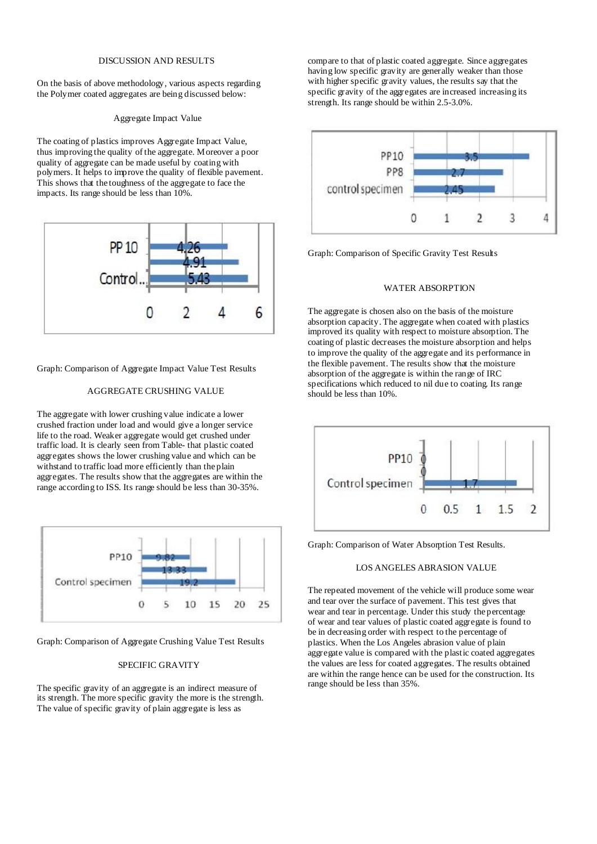## DISCUSSION AND RESULTS

On the basis of above methodology, various aspects regarding the Polymer coated aggregates are being discussed below:

#### Aggregate Impact Value

The coating of plastics improves Aggregate Impact Value, thus improving the quality of the aggregate. Moreover a poor quality of aggregate can be made useful by coating with polymers. It helps to improve the quality of flexible pavement. This shows that the toughness of the aggregate to face the impacts. Its range should be less than 10%.



Graph: Comparison of Aggregate Impact Value Test Results

## AGGREGATE CRUSHING VALUE

The aggregate with lower crushing value indicate a lower crushed fraction under load and would give a longer service life to the road. Weaker aggregate would get crushed under traffic load. It is clearly seen from Table- that plastic coated aggregates shows the lower crushing value and which can be withstand to traffic load more efficiently than the plain aggregates. The results show that the aggregates are within the range according to ISS. Its range should be less than 30-35%.



Graph: Comparison of Aggregate Crushing Value Test Results

## SPECIFIC GRAVITY

The specific gravity of an aggregate is an indirect measure of its strength. The more specific gravity the more is the strength. The value of specific gravity of plain aggregate is less as

compare to that of plastic coated aggregate. Since aggregates having low specific gravity are generally weaker than those with higher specific gravity values, the results say that the specific gravity of the aggregates are increased increasing its strength. Its range should be within 2.5-3.0%.



Graph: Comparison of Specific Gravity Test Results

#### WATER ABSORPTION

The aggregate is chosen also on the basis of the moisture absorption capacity. The aggregate when coated with plastics improved its quality with respect to moisture absorption. The coating of plastic decreases the moisture absorption and helps to improve the quality of the aggregate and its performance in the flexible pavement. The results show that the moisture absorption of the aggregate is within the range of IRC specifications which reduced to nil due to coating. Its range should be less than 10%.



Graph: Comparison of Water Absorption Test Results.

#### LOS ANGELES ABRASION VALUE

The repeated movement of the vehicle will produce some wear and tear over the surface of pavement. This test gives that wear and tear in percentage. Under this study the percentage of wear and tear values of plastic coated aggregate is found to be in decreasing order with respect to the percentage of plastics. When the Los Angeles abrasion value of plain aggregate value is compared with the plastic coated aggregates the values are less for coated aggregates. The results obtained are within the range hence can be used for the construction. Its range should be less than 35%.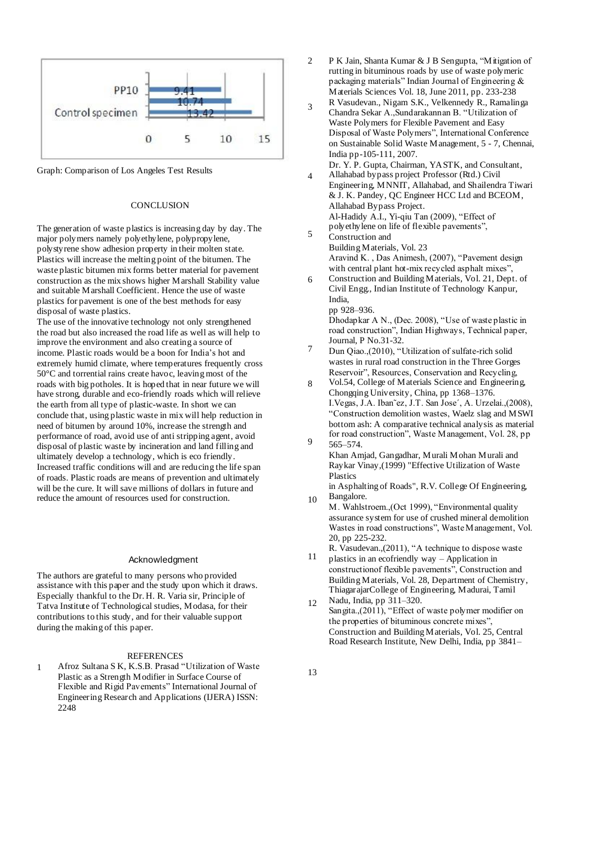

Graph: Comparison of Los Angeles Test Results 4

#### **CONCLUSION**

The generation of waste plastics is increasing day by day. The major polymers namely polyethylene, polypropylene, polystyrene show adhesion property in their molten state. Plastics will increase the melting point of the bitumen. The waste plastic bitumen mix forms better material for pavement construction as the mix shows higher Marshall Stability value and suitable Marshall Coefficient. Hence the use of waste plastics for pavement is one of the best methods for easy disposal of waste plastics.

The use of the innovative technology not only strengthened the road but also increased the road life as well as will help to improve the environment and also creating a source of income. Plastic roads would be a boon for India's hot and extremely humid climate, where temperatures frequently cross 50°C and torrential rains create havoc, leaving most of the roads with big potholes. It is hoped that in near future we will have strong, durable and eco-friendly roads which will relieve the earth from all type of plastic-waste. In short we can conclude that, using plastic waste in mix will help reduction in need of bitumen by around 10%, increase the strength and performance of road, avoid use of anti stripping agent, avoid disposal of plastic waste by incineration and land filling and ultimately develop a technology, which is eco friendly. Increased traffic conditions will and are reducing the life span of roads. Plastic roads are means of prevention and ultimately will be the cure. It will save millions of dollars in future and reduce the amount of resources used for construction.

#### Acknowledgment

The authors are grateful to many persons who provided assistance with this paper and the study upon which it draws. Especially thankful to the Dr. H. R. Varia sir, Principle of Tatva Institute of Technological studies, Modasa, for their contributions to this study, and for their valuable support during the making of this paper.

## **REFERENCES**

Afroz Sultana S K, K.S.B. Prasad "Utilization of Waste Plastic as a Strength Modifier in Surface Course of Flexible and Rigid Pavements" International Journal of Engineering Research and Applications (IJERA) ISSN: 2248 1

- $\overline{2}$ P K Jain, Shanta Kumar & J B Sengupta, "Mitigation of rutting in bituminous roads by use of waste polymeric packaging materials" Indian Journal of Engineering & Materials Sciences Vol. 18, June 2011, pp. 233-238
- 3 R Vasudevan., Nigam S.K., Velkennedy R., Ramalinga Chandra Sekar A.,Sundarakannan B. "Utilization of Waste Polymers for Flexible Pavement and Easy Disposal of Waste Polymers", International Conference on Sustainable Solid Waste Management, 5 - 7, Chennai, India pp-105-111, 2007.

Dr. Y. P. Gupta, Chairman, YASTK, and Consultant, Allahabad bypass project Professor (Rtd.) Civil Engineering, MNNIT, Allahabad, and Shailendra Tiwari

- & J. K. Pandey, QC Engineer HCC Ltd and BCEOM, Allahabad Bypass Project. Al-Hadidy A.I., Yi-qiu Tan (2009), "Effect of polyethylene on life of flexible pavements",
- 5 Construction and Building Materials, Vol. 23 Aravind K. , Das Animesh, (2007), "Pavement design with central plant hot-mix recycled asphalt mixes",
- 6 Construction and Building Materials, Vol. 21, Dept. of Civil Engg., Indian Institute of Technology Kanpur, India, pp 928–936.

Dhodapkar A N., (Dec. 2008), "Use of waste plastic in road construction", Indian Highways, Technical paper, Journal, P No.31-32.

- 7 Dun Qiao.,(2010), "Utilization of sulfate-rich solid wastes in rural road construction in the Three Gorges Reservoir", Resources, Conservation and Recycling,
- 8 9 Vol.54, College of Materials Science and Engineering, Chongqing University, China, pp 1368–1376. I.Vegas, J.A. Iban˜ez, J.T. San Jose´, A. Urzelai.,(2008), "Construction demolition wastes, Waelz slag and MSWI bottom ash: A comparative technical analysis as material for road construction", Waste Management, Vol. 28, pp
- 565–574. Khan Amjad, Gangadhar, Murali Mohan Murali and Raykar Vinay,(1999) "Effective Utilization of Waste Plastics
- 10 in Asphalting of Roads", R.V. College Of Engineering, Bangalore.
- M. Wahlstroem.,(Oct 1999), "Environmental quality assurance system for use of crushed mineral demolition Wastes in road constructions", Waste Management, Vol. 20, pp 225-232.

11 R. Vasudevan.,(2011), "A technique to dispose waste plastics in an ecofriendly way – Application in

- constructionof flexible pavements", Construction and Building Materials, Vol. 28, Department of Chemistry, ThiagarajarCollege of Engineering, Madurai, Tamil Nadu, India, pp 311–320.
- 12 Sangita.,(2011), "Effect of waste polymer modifier on the properties of bituminous concrete mixes", Construction and Building Materials, Vol. 25, Central Road Research Institute, New Delhi, India, pp 3841–

13